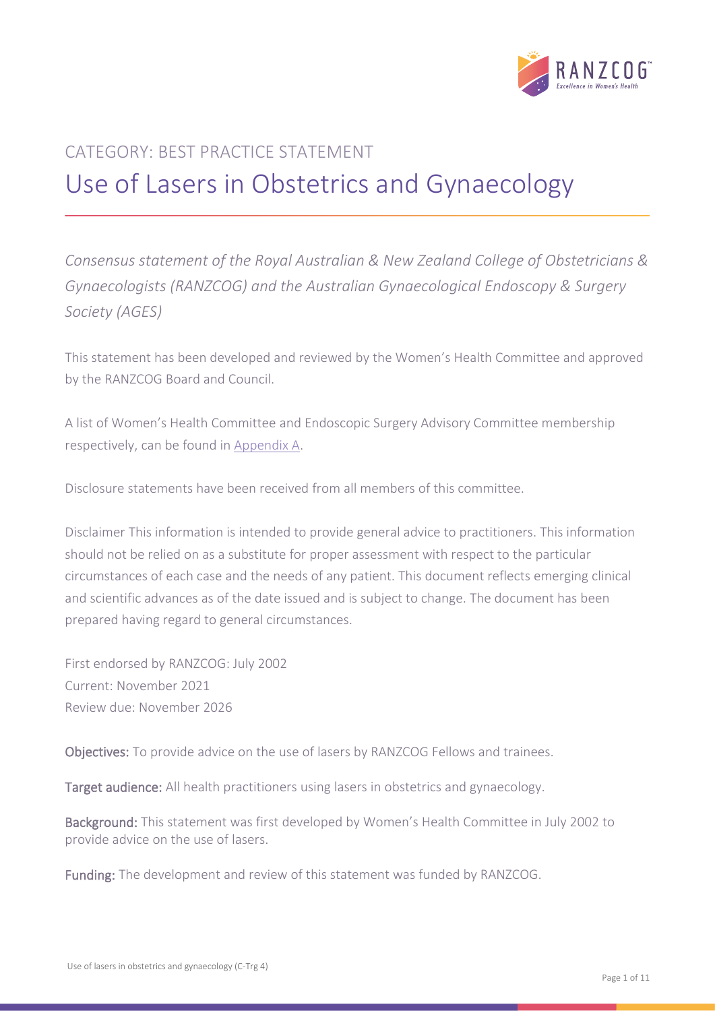

# CATEGORY: BEST PRACTICE STATEMENT Use of Lasers in Obstetrics and Gynaecology

*Consensus statement of the Royal Australian & New Zealand College of Obstetricians & Gynaecologists (RANZCOG) and the Australian Gynaecological Endoscopy & Surgery Society (AGES)*

This statement has been developed and reviewed by the Women's Health Committee and approved by the RANZCOG Board and Council.

A list of Women's Health Committee and Endoscopic Surgery Advisory Committee membership respectively, can be found in [Appendix A.](#page-7-0)

Disclosure statements have been received from all members of this committee.

Disclaimer This information is intended to provide general advice to practitioners. This information should not be relied on as a substitute for proper assessment with respect to the particular circumstances of each case and the needs of any patient. This document reflects emerging clinical and scientific advances as of the date issued and is subject to change. The document has been prepared having regard to general circumstances.

First endorsed by RANZCOG: July 2002 Current: November 2021 Review due: November 2026

Objectives: To provide advice on the use of lasers by RANZCOG Fellows and trainees.

Target audience: All health practitioners using lasers in obstetrics and gynaecology.

Background: This statement was first developed by Women's Health Committee in July 2002 to provide advice on the use of lasers.

Funding: The development and review of this statement was funded by RANZCOG.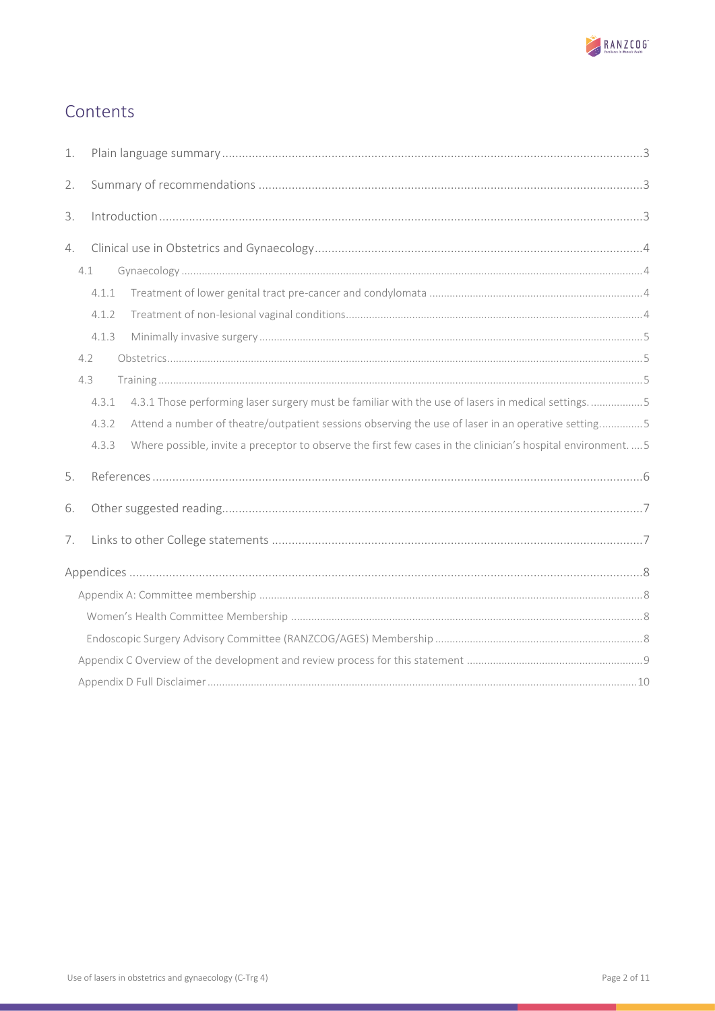

# Contents

| 1. |       |                                                                                                            |  |
|----|-------|------------------------------------------------------------------------------------------------------------|--|
| 2. |       |                                                                                                            |  |
| 3. |       |                                                                                                            |  |
| 4. |       |                                                                                                            |  |
|    | 4.1   |                                                                                                            |  |
|    | 4.1.1 |                                                                                                            |  |
|    | 4.1.2 |                                                                                                            |  |
|    | 4.1.3 |                                                                                                            |  |
|    | 4.2   |                                                                                                            |  |
|    | 4.3   |                                                                                                            |  |
|    | 4.3.1 | 4.3.1 Those performing laser surgery must be familiar with the use of lasers in medical settings5          |  |
|    | 4.3.2 | Attend a number of theatre/outpatient sessions observing the use of laser in an operative setting5         |  |
|    | 4.3.3 | Where possible, invite a preceptor to observe the first few cases in the clinician's hospital environment5 |  |
| 5. |       |                                                                                                            |  |
| 6. |       |                                                                                                            |  |
| 7. |       |                                                                                                            |  |
|    |       |                                                                                                            |  |
|    |       |                                                                                                            |  |
|    |       |                                                                                                            |  |
|    |       |                                                                                                            |  |
|    |       |                                                                                                            |  |
|    |       |                                                                                                            |  |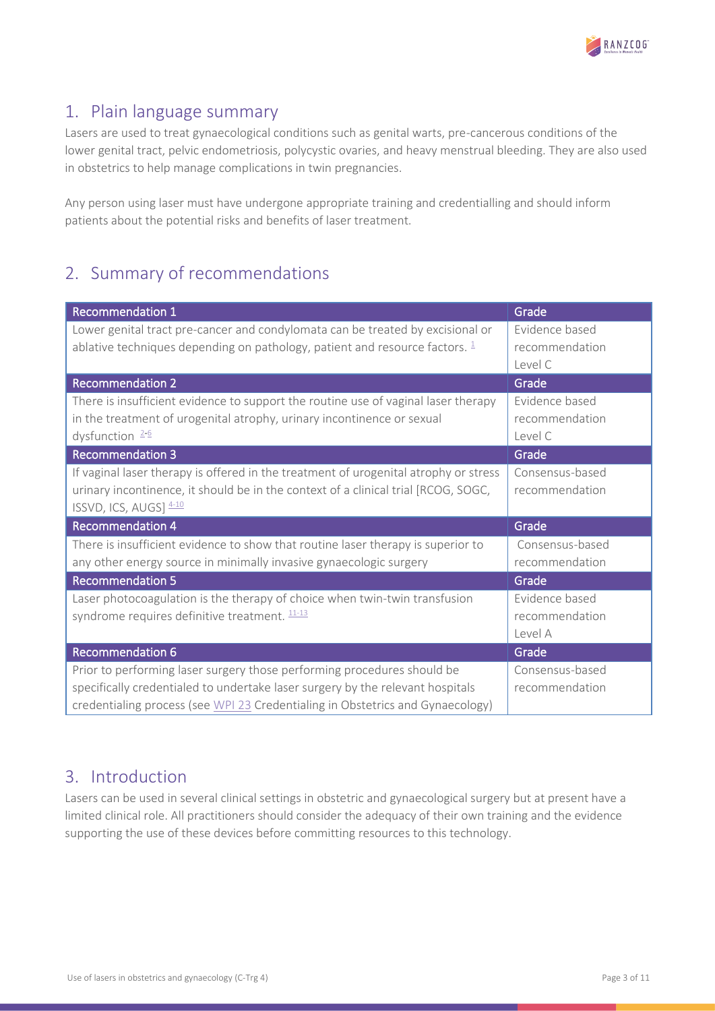

### <span id="page-2-0"></span>1. Plain language summary

Lasers are used to treat gynaecological conditions such as genital warts, pre-cancerous conditions of the lower genital tract, pelvic endometriosis, polycystic ovaries, and heavy menstrual bleeding. They are also used in obstetrics to help manage complications in twin pregnancies.

Any person using laser must have undergone appropriate training and credentialling and should inform patients about the potential risks and benefits of laser treatment.

# <span id="page-2-1"></span>2. Summary of recommendations

| <b>Recommendation 1</b>                                                                                                                                                                                                                     | Grade                                       |
|---------------------------------------------------------------------------------------------------------------------------------------------------------------------------------------------------------------------------------------------|---------------------------------------------|
| Lower genital tract pre-cancer and condylomata can be treated by excisional or<br>ablative techniques depending on pathology, patient and resource factors. $\frac{1}{2}$                                                                   | Evidence based<br>recommendation<br>Level C |
| <b>Recommendation 2</b>                                                                                                                                                                                                                     | Grade                                       |
| There is insufficient evidence to support the routine use of vaginal laser therapy<br>in the treatment of urogenital atrophy, urinary incontinence or sexual<br>dysfunction $2-6$                                                           | Evidence based<br>recommendation<br>Level C |
| <b>Recommendation 3</b>                                                                                                                                                                                                                     | Grade                                       |
| If vaginal laser therapy is offered in the treatment of urogenital atrophy or stress<br>urinary incontinence, it should be in the context of a clinical trial [RCOG, SOGC,<br>ISSVD, ICS, AUGS] $4-10$                                      | Consensus-based<br>recommendation           |
| <b>Recommendation 4</b>                                                                                                                                                                                                                     | Grade                                       |
| There is insufficient evidence to show that routine laser therapy is superior to<br>any other energy source in minimally invasive gynaecologic surgery                                                                                      | Consensus-based<br>recommendation           |
| <b>Recommendation 5</b>                                                                                                                                                                                                                     | Grade                                       |
| Laser photocoagulation is the therapy of choice when twin-twin transfusion<br>syndrome requires definitive treatment. 11-13                                                                                                                 | Evidence based<br>recommendation<br>Level A |
| <b>Recommendation 6</b>                                                                                                                                                                                                                     | Grade                                       |
| Prior to performing laser surgery those performing procedures should be<br>specifically credentialed to undertake laser surgery by the relevant hospitals<br>credentialing process (see WPI 23 Credentialing in Obstetrics and Gynaecology) | Consensus-based<br>recommendation           |

### <span id="page-2-2"></span>3. Introduction

Lasers can be used in several clinical settings in obstetric and gynaecological surgery but at present have a limited clinical role. All practitioners should consider the adequacy of their own training and the evidence supporting the use of these devices before committing resources to this technology.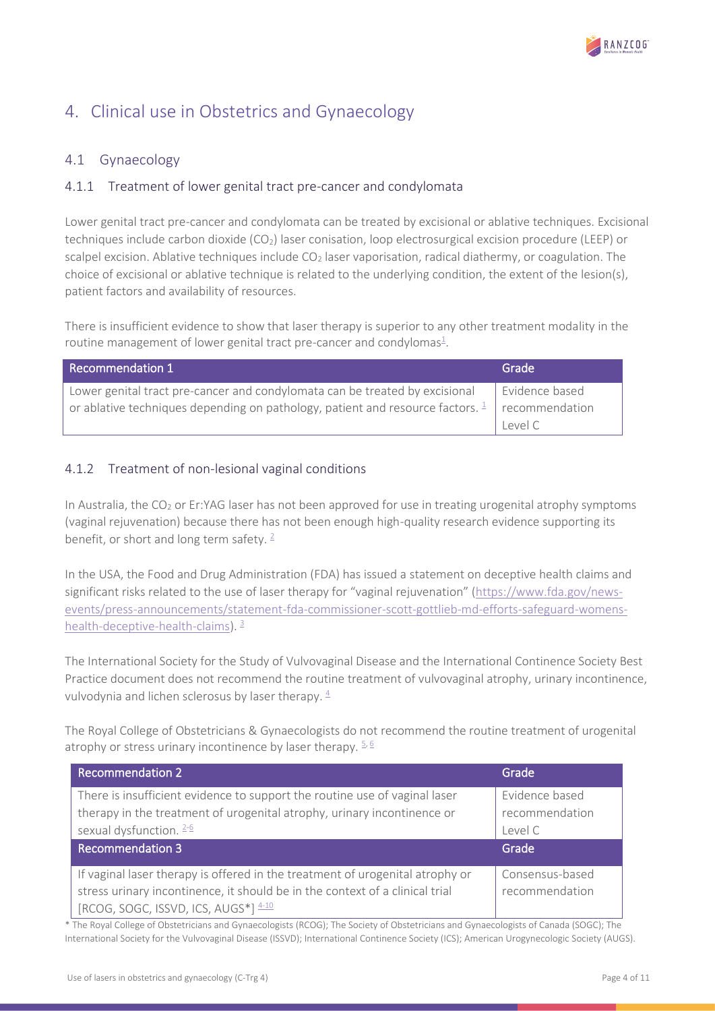

# <span id="page-3-0"></span>4. Clinical use in Obstetrics and Gynaecology

### <span id="page-3-1"></span>4.1 Gynaecology

### <span id="page-3-2"></span>4.1.1 Treatment of lower genital tract pre-cancer and condylomata

Lower genital tract pre-cancer and condylomata can be treated by excisional or ablative techniques. Excisional techniques include carbon dioxide  $(CO<sub>2</sub>)$  laser conisation, loop electrosurgical excision procedure (LEEP) or scalpel excision. Ablative techniques include  $CO<sub>2</sub>$  laser vaporisation, radical diathermy, or coagulation. The choice of excisional or ablative technique is related to the underlying condition, the extent of the lesion(s), patient factors and availability of resources.

There is insufficient evidence to show that laser therapy is superior to any other treatment modality in the routine management of lower genital tract pre-cancer and condyloma[s](#page-5-1) $^{\underline{1}}$ .

| Recommendation 1                                                                                                      | Grade          |
|-----------------------------------------------------------------------------------------------------------------------|----------------|
| Lower genital tract pre-cancer and condylomata can be treated by excisional                                           | Evidence based |
| $\degree$ or ablative techniques depending on pathology, patient and resource factors. $\frac{1}{2}$   recommendation |                |
|                                                                                                                       | level C        |

### <span id="page-3-3"></span>4.1.2 Treatment of non-lesional vaginal conditions

In Australia, the  $CO<sub>2</sub>$  or Er:YAG laser has not been approved for use in treating urogenital atrophy symptoms (vaginal rejuvenation) because there has not been enough high-quality research evidence supporting its benefit, or short and long term safety.  $2^2$  $2^2$ 

In the USA, the Food and Drug Administration (FDA) has issued a statement on deceptive health claims and significant risks related to the use of laser therapy for "vaginal rejuvenation" [\(https://www.fda.gov/news](https://www.fda.gov/news-events/press-announcements/statement-fda-commissioner-scott-gottlieb-md-efforts-safeguard-womens-health-deceptive-health-claims)[events/press-announcements/statement-fda-commissioner-scott-gottlieb-md-efforts-safeguard-womens](https://www.fda.gov/news-events/press-announcements/statement-fda-commissioner-scott-gottlieb-md-efforts-safeguard-womens-health-deceptive-health-claims)[health-deceptive-health-claims\)](https://www.fda.gov/news-events/press-announcements/statement-fda-commissioner-scott-gottlieb-md-efforts-safeguard-womens-health-deceptive-health-claims).  $\frac{3}{2}$  $\frac{3}{2}$  $\frac{3}{2}$ 

The International Society for the Study of Vulvovaginal Disease and the International Continence Society Best Practice document does not recommend the routine treatment of vulvovaginal atrophy, urinary incontinence, vulvodynia and lichen sclerosus by laser therapy.  $4$ 

The Royal College of Obstetricians & Gynaecologists do not recommend the routine treatment of urogenital atrophy or stress urinary incontinence by laser therapy.  $56$ 

| <b>Recommendation 2</b>                                                                                                                                                          | Grade                                       |
|----------------------------------------------------------------------------------------------------------------------------------------------------------------------------------|---------------------------------------------|
| There is insufficient evidence to support the routine use of vaginal laser<br>therapy in the treatment of urogenital atrophy, urinary incontinence or<br>sexual dysfunction. 2-6 | Evidence based<br>recommendation<br>Level C |
| Recommendation 3                                                                                                                                                                 | Grade                                       |
|                                                                                                                                                                                  |                                             |
| If vaginal laser therapy is offered in the treatment of urogenital atrophy or                                                                                                    | Consensus-based                             |
| stress urinary incontinence, it should be in the context of a clinical trial<br>$[RCOG, SOGC, ISSVD, ICS, AUGS*]$ $4-10$                                                         | recommendation                              |

\* The Royal College of Obstetricians and Gynaecologists (RCOG); The Society of Obstetricians and Gynaecologists of Canada (SOGC); The International Society for the Vulvovaginal Disease (ISSVD); International Continence Society (ICS); American Urogynecologic Society (AUGS).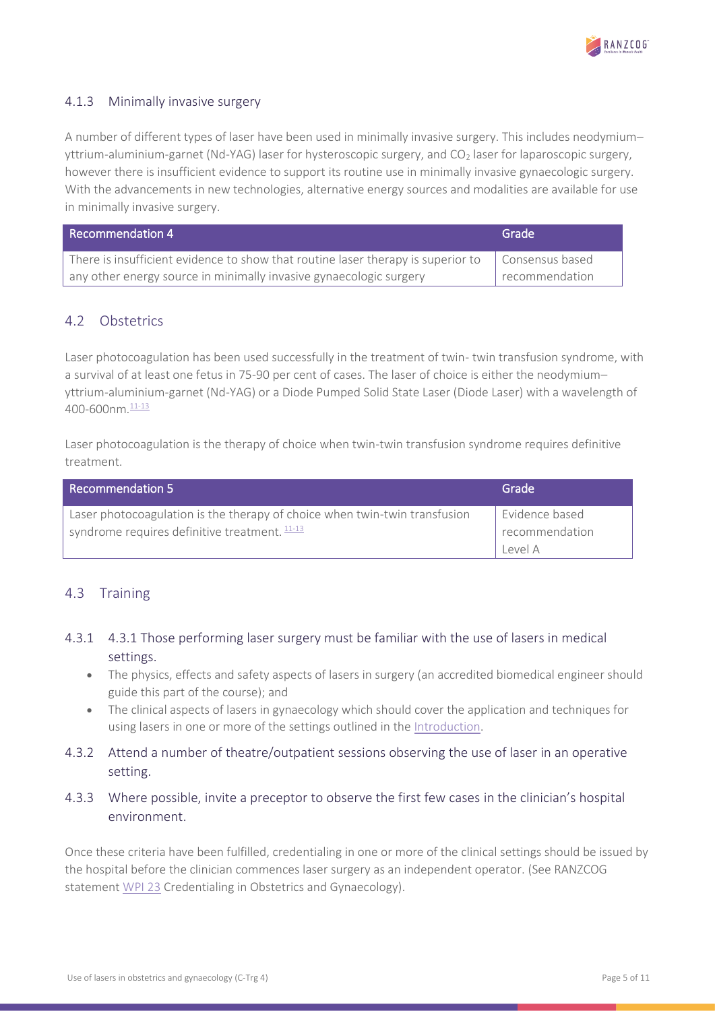

### <span id="page-4-0"></span>4.1.3 Minimally invasive surgery

A number of different types of laser have been used in minimally invasive surgery. This includes neodymium– yttrium-aluminium-garnet (Nd-YAG) laser for hysteroscopic surgery, and CO<sub>2</sub> laser for laparoscopic surgery, however there is insufficient evidence to support its routine use in minimally invasive gynaecologic surgery. With the advancements in new technologies, alternative energy sources and modalities are available for use in minimally invasive surgery.

| Recommendation 4                                                                                        | Grade          |
|---------------------------------------------------------------------------------------------------------|----------------|
| There is insufficient evidence to show that routine laser therapy is superior to $\Box$ Consensus based |                |
| any other energy source in minimally invasive gynaecologic surgery                                      | recommendation |

### <span id="page-4-1"></span>4.2 Obstetrics

Laser photocoagulation has been used successfully in the treatment of twin- twin transfusion syndrome, with a survival of at least one fetus in 75-90 per cent of cases. The laser of choice is either the neodymium– yttrium-aluminium-garnet (Nd-YAG) or a Diode Pumped Solid State Laser (Diode Laser) with a wavelength of 400-600nm.<sup>[11-13](#page-5-5)</sup>

Laser photocoagulation is the therapy of choice when twin-twin transfusion syndrome requires definitive treatment.

| <b>Recommendation 5</b>                                                                                                       | Grade                            |
|-------------------------------------------------------------------------------------------------------------------------------|----------------------------------|
| Laser photocoagulation is the therapy of choice when twin-twin transfusion<br>syndrome requires definitive treatment. $11-13$ | Evidence based<br>recommendation |
|                                                                                                                               | level A                          |

### <span id="page-4-2"></span>4.3 Training

### <span id="page-4-3"></span>4.3.1 4.3.1 Those performing laser surgery must be familiar with the use of lasers in medical settings.

- The physics, effects and safety aspects of lasers in surgery (an accredited biomedical engineer should guide this part of the course); and
- The clinical aspects of lasers in gynaecology which should cover the application and techniques for using lasers in one or more of the settings outlined in the [Introduction.](#page-2-2)
- <span id="page-4-4"></span>4.3.2 Attend a number of theatre/outpatient sessions observing the use of laser in an operative setting.

### <span id="page-4-5"></span>4.3.3 Where possible, invite a preceptor to observe the first few cases in the clinician's hospital environment.

Once these criteria have been fulfilled, credentialing in one or more of the clinical settings should be issued by the hospital before the clinician commences laser surgery as an independent operator. (See RANZCOG statement [WPI 23](https://ranzcog.edu.au/RANZCOG_SITE/media/RANZCOG-MEDIA/Women%27s%20Health/Statement%20and%20guidelines/Workforce%20and%20Practice%20Issues/Credentialing-in-Obstetrics-and-Gynaecology-(WPI-23)-Review-July-2019.pdf?ext=.pdf) Credentialing in Obstetrics and Gynaecology).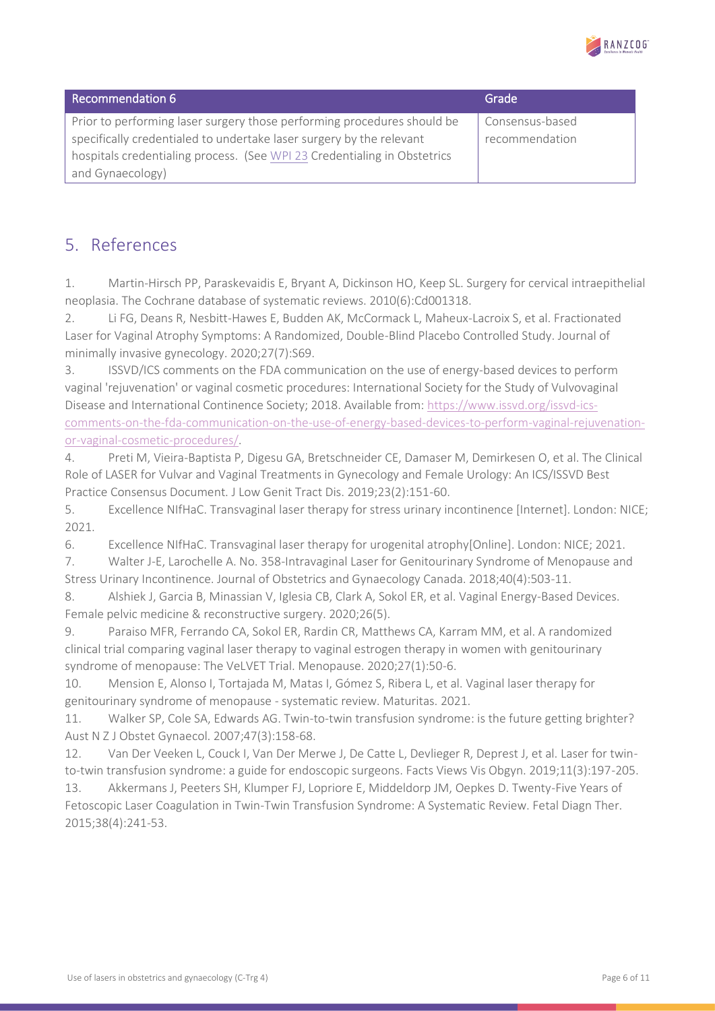

| Recommendation 6                                                         | Grade           |
|--------------------------------------------------------------------------|-----------------|
| Prior to performing laser surgery those performing procedures should be  | Consensus-based |
| specifically credentialed to undertake laser surgery by the relevant     | recommendation  |
| hospitals credentialing process. (See WPI 23 Credentialing in Obstetrics |                 |
| and Gynaecology)                                                         |                 |

### <span id="page-5-0"></span>5. References

<span id="page-5-1"></span>1. Martin-Hirsch PP, Paraskevaidis E, Bryant A, Dickinson HO, Keep SL. Surgery for cervical intraepithelial neoplasia. The Cochrane database of systematic reviews. 2010(6):Cd001318.

<span id="page-5-2"></span>2. Li FG, Deans R, Nesbitt-Hawes E, Budden AK, McCormack L, Maheux-Lacroix S, et al. Fractionated Laser for Vaginal Atrophy Symptoms: A Randomized, Double-Blind Placebo Controlled Study. Journal of minimally invasive gynecology. 2020;27(7):S69.

<span id="page-5-6"></span>3. ISSVD/ICS comments on the FDA communication on the use of energy-based devices to perform vaginal 'rejuvenation' or vaginal cosmetic procedures: International Society for the Study of Vulvovaginal Disease and International Continence Society; 2018. Available from[: https://www.issvd.org/issvd-ics](https://www.issvd.org/issvd-ics-comments-on-the-fda-communication-on-the-use-of-energy-based-devices-to-perform-vaginal-rejuvenation-or-vaginal-cosmetic-procedures/)[comments-on-the-fda-communication-on-the-use-of-energy-based-devices-to-perform-vaginal-rejuvenation](https://www.issvd.org/issvd-ics-comments-on-the-fda-communication-on-the-use-of-energy-based-devices-to-perform-vaginal-rejuvenation-or-vaginal-cosmetic-procedures/)[or-vaginal-cosmetic-procedures/.](https://www.issvd.org/issvd-ics-comments-on-the-fda-communication-on-the-use-of-energy-based-devices-to-perform-vaginal-rejuvenation-or-vaginal-cosmetic-procedures/)

<span id="page-5-4"></span>4. Preti M, Vieira-Baptista P, Digesu GA, Bretschneider CE, Damaser M, Demirkesen O, et al. The Clinical Role of LASER for Vulvar and Vaginal Treatments in Gynecology and Female Urology: An ICS/ISSVD Best Practice Consensus Document. J Low Genit Tract Dis. 2019;23(2):151-60.

<span id="page-5-7"></span>5. Excellence NIfHaC. Transvaginal laser therapy for stress urinary incontinence [Internet]. London: NICE; 2021.

<span id="page-5-3"></span>6. Excellence NIfHaC. Transvaginal laser therapy for urogenital atrophy[Online]. London: NICE; 2021.

7. Walter J-E, Larochelle A. No. 358-Intravaginal Laser for Genitourinary Syndrome of Menopause and Stress Urinary Incontinence. Journal of Obstetrics and Gynaecology Canada. 2018;40(4):503-11.

8. Alshiek J, Garcia B, Minassian V, Iglesia CB, Clark A, Sokol ER, et al. Vaginal Energy-Based Devices. Female pelvic medicine & reconstructive surgery. 2020;26(5).

9. Paraiso MFR, Ferrando CA, Sokol ER, Rardin CR, Matthews CA, Karram MM, et al. A randomized clinical trial comparing vaginal laser therapy to vaginal estrogen therapy in women with genitourinary syndrome of menopause: The VeLVET Trial. Menopause. 2020;27(1):50-6.

10. Mension E, Alonso I, Tortajada M, Matas I, Gómez S, Ribera L, et al. Vaginal laser therapy for genitourinary syndrome of menopause - systematic review. Maturitas. 2021.

<span id="page-5-5"></span>11. Walker SP, Cole SA, Edwards AG. Twin-to-twin transfusion syndrome: is the future getting brighter? Aust N Z J Obstet Gynaecol. 2007;47(3):158-68.

12. Van Der Veeken L, Couck I, Van Der Merwe J, De Catte L, Devlieger R, Deprest J, et al. Laser for twinto-twin transfusion syndrome: a guide for endoscopic surgeons. Facts Views Vis Obgyn. 2019;11(3):197-205.

13. Akkermans J, Peeters SH, Klumper FJ, Lopriore E, Middeldorp JM, Oepkes D. Twenty-Five Years of Fetoscopic Laser Coagulation in Twin-Twin Transfusion Syndrome: A Systematic Review. Fetal Diagn Ther. 2015;38(4):241-53.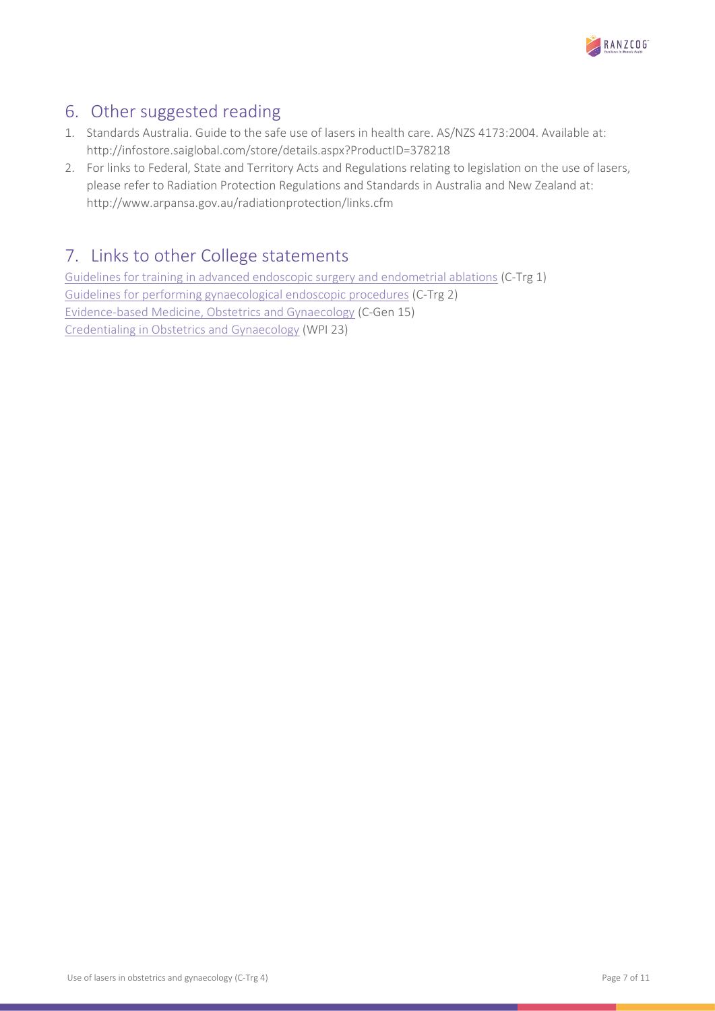

## <span id="page-6-0"></span>6. Other suggested reading

- 1. Standards Australia. Guide to the safe use of lasers in health care. AS/NZS 4173:2004. Available at: http://infostore.saiglobal.com/store/details.aspx?ProductID=378218
- 2. For links to Federal, State and Territory Acts and Regulations relating to legislation on the use of lasers, please refer to Radiation Protection Regulations and Standards in Australia and New Zealand at: http://www.arpansa.gov.au/radiationprotection/links.cfm

# <span id="page-6-1"></span>7. Links to other College statements

[Guidelines for training in advanced endoscopic surgery and endometrial ablations](https://ranzcog.edu.au/RANZCOG_SITE/media/RANZCOG-MEDIA/Women%27s%20Health/Statement%20and%20guidelines/Clinical%20-%20Training/Guidelines-for-training-in-advanced-endoscopic-surgery-(C-Trg-1)-Review-March-2017.pdf?ext=.pdf) (C-Trg 1) [Guidelines for performing gynaecological endoscopic procedures](https://ranzcog.edu.au/RANZCOG_SITE/media/RANZCOG-MEDIA/Women%27s%20Health/Statement%20and%20guidelines/Clinical%20-%20Training/Guidelines-for-performing-gynaecological-endoscopic-procedures-(C-Trg-2).pdf?ext=.pdf) (C-Trg 2) [Evidence-based Medicine, Obstetrics and Gynaecology](https://ranzcog.edu.au/RANZCOG_SITE/media/RANZCOG-MEDIA/Women%27s%20Health/Statement%20and%20guidelines/Clinical%20-%20General/Evidence-based_Medicine_Obstetrics_and_Gynaecology_(C-Gen-15)-March-2021.pdf?ext=.pdf) (C-Gen 15) [Credentialing in Obstetrics and Gynaecology](https://ranzcog.edu.au/RANZCOG_SITE/media/RANZCOG-MEDIA/Women%27s%20Health/Statement%20and%20guidelines/Workforce%20and%20Practice%20Issues/Credentialing-in-Obstetrics-and-Gynaecology-(WPI-23)-Review-July-2019.pdf?ext=.pdf) (WPI 23)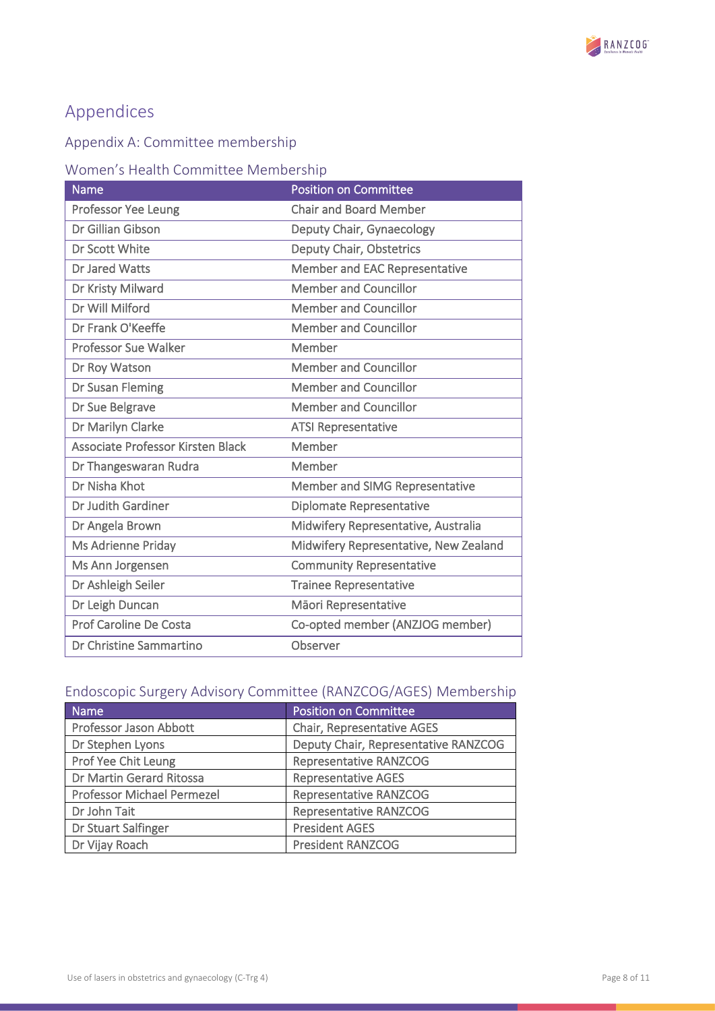

# <span id="page-7-1"></span>Appendices

### <span id="page-7-0"></span>Appendix A: Committee membership

### <span id="page-7-2"></span>Women's Health Committee Membership

| <b>Name</b>                       | <b>Position on Committee</b>          |
|-----------------------------------|---------------------------------------|
| <b>Professor Yee Leung</b>        | <b>Chair and Board Member</b>         |
| Dr Gillian Gibson                 | Deputy Chair, Gynaecology             |
| Dr Scott White                    | Deputy Chair, Obstetrics              |
| <b>Dr Jared Watts</b>             | Member and EAC Representative         |
| Dr Kristy Milward                 | <b>Member and Councillor</b>          |
| Dr Will Milford                   | <b>Member and Councillor</b>          |
| Dr Frank O'Keeffe                 | <b>Member and Councillor</b>          |
| <b>Professor Sue Walker</b>       | Member                                |
| Dr Roy Watson                     | <b>Member and Councillor</b>          |
| Dr Susan Fleming                  | <b>Member and Councillor</b>          |
| Dr Sue Belgrave                   | <b>Member and Councillor</b>          |
| Dr Marilyn Clarke                 | <b>ATSI Representative</b>            |
| Associate Professor Kirsten Black | Member                                |
| Dr Thangeswaran Rudra             | Member                                |
| Dr Nisha Khot                     | Member and SIMG Representative        |
| Dr Judith Gardiner                | <b>Diplomate Representative</b>       |
| Dr Angela Brown                   | Midwifery Representative, Australia   |
| Ms Adrienne Priday                | Midwifery Representative, New Zealand |
| Ms Ann Jorgensen                  | <b>Community Representative</b>       |
| Dr Ashleigh Seiler                | <b>Trainee Representative</b>         |
| Dr Leigh Duncan                   | Māori Representative                  |
| Prof Caroline De Costa            | Co-opted member (ANZJOG member)       |
| Dr Christine Sammartino           | Observer                              |

### <span id="page-7-3"></span>Endoscopic Surgery Advisory Committee (RANZCOG/AGES) Membership

| Name                              | <b>Position on Committee</b>         |
|-----------------------------------|--------------------------------------|
| Professor Jason Abbott            | <b>Chair, Representative AGES</b>    |
| Dr Stephen Lyons                  | Deputy Chair, Representative RANZCOG |
| Prof Yee Chit Leung               | <b>Representative RANZCOG</b>        |
| Dr Martin Gerard Ritossa          | <b>Representative AGES</b>           |
| <b>Professor Michael Permezel</b> | <b>Representative RANZCOG</b>        |
| Dr John Tait                      | <b>Representative RANZCOG</b>        |
| Dr Stuart Salfinger               | <b>President AGES</b>                |
| Dr Vijay Roach                    | <b>President RANZCOG</b>             |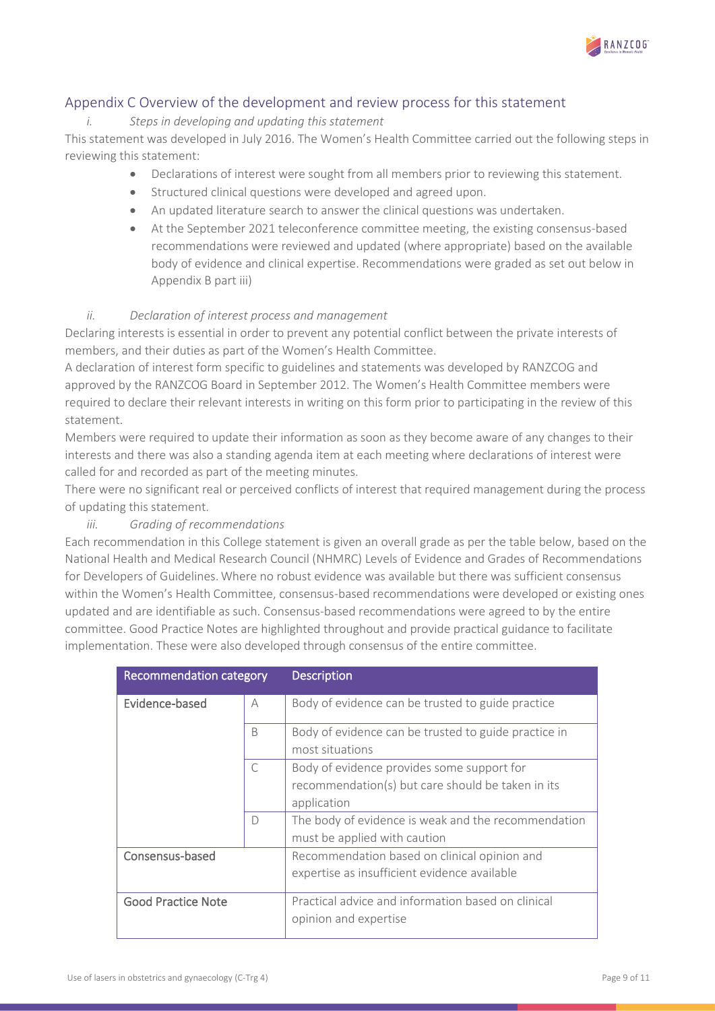

### <span id="page-8-0"></span>Appendix C Overview of the development and review process for this statement

### *i. Steps in developing and updating this statement*

This statement was developed in July 2016. The Women's Health Committee carried out the following steps in reviewing this statement:

- Declarations of interest were sought from all members prior to reviewing this statement.
- Structured clinical questions were developed and agreed upon.
- An updated literature search to answer the clinical questions was undertaken.
- At the September 2021 teleconference committee meeting, the existing consensus-based recommendations were reviewed and updated (where appropriate) based on the available body of evidence and clinical expertise. Recommendations were graded as set out below in Appendix B part iii)

### *ii. Declaration of interest process and management*

Declaring interests is essential in order to prevent any potential conflict between the private interests of members, and their duties as part of the Women's Health Committee.

A declaration of interest form specific to guidelines and statements was developed by RANZCOG and approved by the RANZCOG Board in September 2012. The Women's Health Committee members were required to declare their relevant interests in writing on this form prior to participating in the review of this statement.

Members were required to update their information as soon as they become aware of any changes to their interests and there was also a standing agenda item at each meeting where declarations of interest were called for and recorded as part of the meeting minutes.

There were no significant real or perceived conflicts of interest that required management during the process of updating this statement.

### *iii. Grading of recommendations*

Each recommendation in this College statement is given an overall grade as per the table below, based on the National Health and Medical Research Council (NHMRC) Levels of Evidence and Grades of Recommendations for Developers of Guidelines. Where no robust evidence was available but there was sufficient consensus within the Women's Health Committee, consensus-based recommendations were developed or existing ones updated and are identifiable as such. Consensus-based recommendations were agreed to by the entire committee. Good Practice Notes are highlighted throughout and provide practical guidance to facilitate implementation. These were also developed through consensus of the entire committee.

| Recommendation category   |           | <b>Description</b>                                                                                             |
|---------------------------|-----------|----------------------------------------------------------------------------------------------------------------|
| Evidence-based            | А         | Body of evidence can be trusted to guide practice                                                              |
|                           | B         | Body of evidence can be trusted to guide practice in<br>most situations                                        |
|                           | $\subset$ | Body of evidence provides some support for<br>recommendation(s) but care should be taken in its<br>application |
|                           | $\Box$    | The body of evidence is weak and the recommendation<br>must be applied with caution                            |
| Consensus-based           |           | Recommendation based on clinical opinion and<br>expertise as insufficient evidence available                   |
| <b>Good Practice Note</b> |           | Practical advice and information based on clinical<br>opinion and expertise                                    |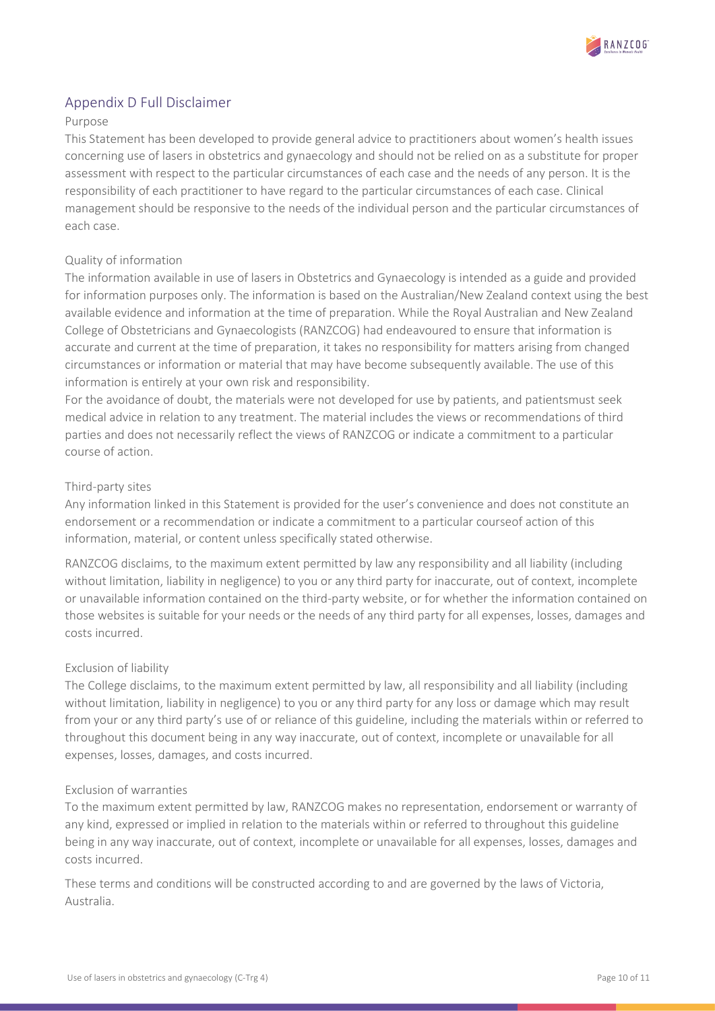

### <span id="page-9-0"></span>Appendix D Full Disclaimer

#### Purpose

This Statement has been developed to provide general advice to practitioners about women's health issues concerning use of lasers in obstetrics and gynaecology and should not be relied on as a substitute for proper assessment with respect to the particular circumstances of each case and the needs of any person. It is the responsibility of each practitioner to have regard to the particular circumstances of each case. Clinical management should be responsive to the needs of the individual person and the particular circumstances of each case.

#### Quality of information

The information available in use of lasers in Obstetrics and Gynaecology is intended as a guide and provided for information purposes only. The information is based on the Australian/New Zealand context using the best available evidence and information at the time of preparation. While the Royal Australian and New Zealand College of Obstetricians and Gynaecologists (RANZCOG) had endeavoured to ensure that information is accurate and current at the time of preparation, it takes no responsibility for matters arising from changed circumstances or information or material that may have become subsequently available. The use of this information is entirely at your own risk and responsibility.

For the avoidance of doubt, the materials were not developed for use by patients, and patientsmust seek medical advice in relation to any treatment. The material includes the views or recommendations of third parties and does not necessarily reflect the views of RANZCOG or indicate a commitment to a particular course of action.

#### Third-party sites

Any information linked in this Statement is provided for the user's convenience and does not constitute an endorsement or a recommendation or indicate a commitment to a particular courseof action of this information, material, or content unless specifically stated otherwise.

RANZCOG disclaims, to the maximum extent permitted by law any responsibility and all liability (including without limitation, liability in negligence) to you or any third party for inaccurate, out of context, incomplete or unavailable information contained on the third-party website, or for whether the information contained on those websites is suitable for your needs or the needs of any third party for all expenses, losses, damages and costs incurred.

#### Exclusion of liability

The College disclaims, to the maximum extent permitted by law, all responsibility and all liability (including without limitation, liability in negligence) to you or any third party for any loss or damage which may result from your or any third party's use of or reliance of this guideline, including the materials within or referred to throughout this document being in any way inaccurate, out of context, incomplete or unavailable for all expenses, losses, damages, and costs incurred.

#### Exclusion of warranties

To the maximum extent permitted by law, RANZCOG makes no representation, endorsement or warranty of any kind, expressed or implied in relation to the materials within or referred to throughout this guideline being in any way inaccurate, out of context, incomplete or unavailable for all expenses, losses, damages and costs incurred.

These terms and conditions will be constructed according to and are governed by the laws of Victoria, Australia.